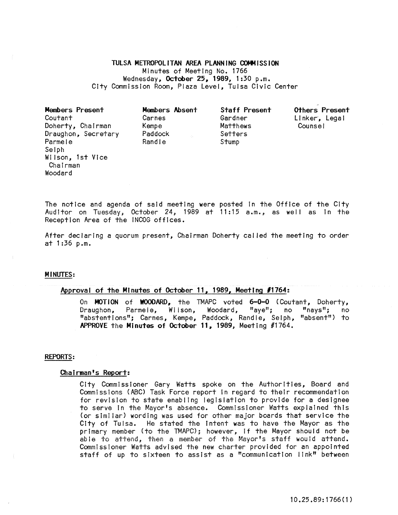TULSA METROPOLITAN AREA PLANNING COMMISSION Minutes of Meeting No. 1766 Wednesday, October 25, 1989, 1:30 p.m. City Commission Room, Plaza Level, Tulsa CIvic Center

Members Present Coutant Doherty, Chairman Draughon, Secretary Parmele Selph Wi Ison, 1st Vice Chairman **Woodard** 

Members Absent Carnes Kempe Paddock Randle Stump

Staff Present Gardner Matthews Setters

Others Present Linker', Lega I

The notice and agenda of said meeting were posted In the Office of the City Auditor on Tuesday, October 24, 1989 at 11:15 a.m., as well as In the Reception Area of the INCOG offices.

After declaring a quorum present, Chairman Doherty cal led the meeting to order at 1:36 p.m.

#### MINUTES:

## Approval of the Minutes of October 11, 1989, Meeting *11764:*

On MOTION of WOODARD, the TMAPC voted 6-0-0 (Coutant, Doherty,<br>Draughon, Parmele, Wilson, Woodard, "ave"; no "nays"; no Draughon, Parmele, Wilson, Woodard, "aye"; no "nays"; no "abstentions"; Carnes, Kempe, Paddock, Randle, Selph, "absent") to APPROVE the Minutes of October **11,** 1989, Meeting #1764.

#### REPORTS:

### Chairman's Report:

City Commissioner Gary Watts spoke on the Authorities, Board and Commissions (ABC) Task Force report in regard to their recommendation for revision to state enabling legislation to provide for a designee to serve In the Mayor's absence. Commissioner Watts explained this (or simi lar) wording was used for other major boards that service the City of Tulsa. He stated the Intent was to have the Mayor as the primary member (to the TMAPC); however, If the Mayor should not be able to attend, then a member of the Mayor's staff would attend. Commissioner Watts advised the new charter provided for an appointed staff of up to sixteen to assist as a "communication link" between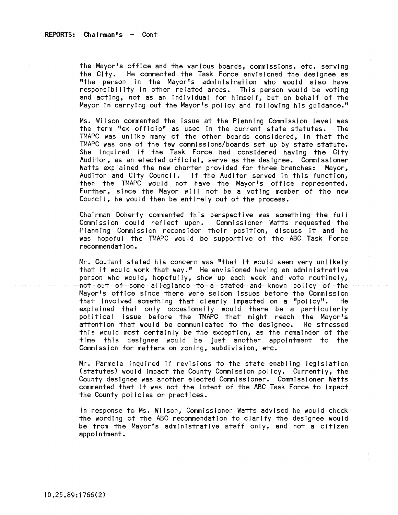the Mayor's office and the various boards, commissions, etc. serving the City. He commented the Task Force envisioned the designee as "the person in the Mayor's administration who would also have responsibility in other related areas. This person would be voting and acting, not as an individual for himself, but on behalf of the Mayor In carrying out the Mayor's policy and fol lowing his guidance."

Ms. Wilson commented the Issue at the Planning Commission level was the term "ex officio" as used in the current state statutes. The TMAPC was unlike many of the other boards considered, in that the TMAPC was one of the few commissions/boards set up by state statute. She Inquired If the Task Force had considered having the City Auditor, as an elected official, serve as the designee. Commissioner Watts explained the new charter provided for three branches: Mayor, Auditor and City Council. If the Auditor served in this function, then the TMAPC would not have the Mayor's office represented. Further, since the Mayor will not be a voting member of the new Council, he would then be entirely out of the process.

Chairman Doherty commented this perspective was something the full Commission could reflect upon. Commissioner Watts requested the Planning Commission reconsider their position, discuss It and he was hopeful the TMAPC would be supportive of the ABC Task Force recommendation.

Mr. Coutant stated his concern was "that It would seem very unlikely that it would work that way." He envisioned having an administrative person who would, hopefully, show up each week and vote routinely, not out of some allegiance to a stated and known policy of the Mayor's office since there were seldom Issues before the Commission that involved something that clearly impacted on a "policy". He explained that only occasionally would there be a particuiarly political Issue before the TMAPC that might reach the Mayor's attention that would be communicated to the designee. He stressed this would most certainly be the exception, as the remainder of the time this designee would be Just another appointment to the Commission for matters on zoning, subdivision, etc.

Mr. Parmele Inquired If revisions to the state enabling legislation (statutes) would impact the County Commission policy. Currently, the County designee was another elected Commissioner. Commissioner Watts commented that it was not the Intent of the ABC Task Force to Impact the County policies or practices.

In response to Ms. Wi Ison, Commissioner Watts advised he would check the wording of the ABC recommendation to clarify the designee would be from the Mayor's administrative staff only, and not a citizen appointment.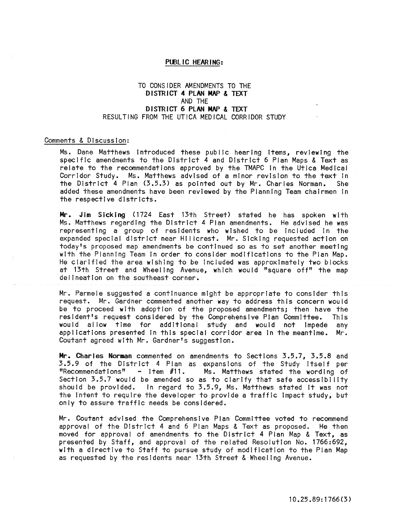### PUBLIC HEARING:

# TO CONSIDER AMENDMENTS TO THE DISTRICT 4 PLAN MAP & TEXT AND THE DISTRICT 6 PLAN MAP & TEXT RESULTING FROM THE UTICA MEDICAL CORRIDOR STUDY

### Comments & Discussion:

Ms. Dane Matthews Introduced these public hearing Items, reviewing the specific amendments to the District 4 and District 6 Plan Maps & Text as relate to the recommendations approved by the TMAPC in the Utica Medical Corridor Study. Ms. Matthews advised of a minor revision to the text In the DistrIct 4 Plan (3.5.3) as pointed out by Mr. Charles Norman. She added these amendments have been reviewed by the Planning Team chairmen In the respective districts.

Mr. JIm SIcking (1724 East 13th Street) stated he has spoken with Ms. Matthews regarding the District 4 Plan amendments. He advised he was representing a group of residents who wished to be included in the expanded special district near Hillcrest. Mr. Sicking requested action on today's proposed map amendments be continued so as to set another meeting with the Planning Team In order to consider modifications to the Plan Map. He clarified the area wishing to be Included was approximately two blocks at 13th Street and Wheeling Avenue, which would "square off" the map delineation on the southeast corner.

Mr. Parmele suggested a continuance might be appropriate to consider this request. Mr. Gardner commented another way to address this concern would be to proceed wIth adoption of the proposed amendments; then have the resident's request considered by the Comprehensive Plan Committee. This would allow time for additional study and would not impede any applIcations presented in this special corridor area In the meantime. Mr. Coutant agreed with Mr. Gardner's suggestion.

Mr. Charles Norman commented on amendments to Sections 3.5.7, 3.5.8 and 3.5.9 of the District 4 Plan as expansions of the Study itself per "Recommendations" - item  $f11.$  Ms. Matthews stated the wording of Ms. Matthews stated the wording of Section 3.5.7 would be amended so as to clarify that safe accessibility should be provided. In regard to 3.5.9, Ms. Matthews stated It was not the intent to require the developer to provide a traffic impact study, but only to assure traffic needs be consIdered.

Mr. Coutant advised the ComprehensIve Plan Committee voted to recommend approval of the District 4 and 6 Plan Maps & Taxt as proposed. He then moved for approval of amendments to the District 4 Plan Map & Text, as presented by Staff, and approval of the related Resolution No. 1766:692, with a directive to Staff to pursue study of modification to the Plan Map as requested by the residents near 13th Street & Wheeling Avenue.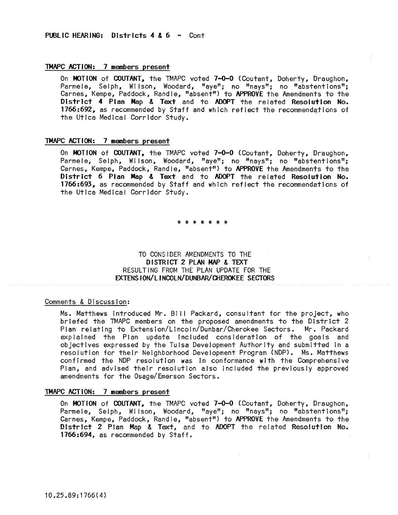### TMAPC ACTION: 7 members present

On MOTION of COUTANT, the TMAPC voted 7-0-0 (Coutant, Doherty, Draughon, Parmele, Selph, Wilson, Woodard, "aye"; no "nays"; no "abstentions"; Carnes, Kempe, Paddock, Randle, "absent") to APPROVE the Amendments to the District 4<sup>:</sup> Plan Map & Text and to ADOPT the related Resolution No.<br>1766:692, as recommended by Staff and which reflect the recommendations of the Utica Medical Corridor Study.

## TMAPC ACTION: 7 members present

On MOTION of COUTANT, the TMAPC voted 7-0-0 (Coutant, Doherty, Draughon, Parmele, Selph, Wilson, Woodard, "aye"; no "nays"; no "abstentions"; Carnes, Kempe, Paddock, Randle, "absent") to APPROVE the Amendments to the District 6 Plan Map & Text and to ADOPT the related Resolution No. 1766:693, as recommended by Staff and which reflect the recommendations of the Utica Medical Corridor Study.

## \* \* \* \* \* \* \*

# TO CONSIDER AMENDMENTS TO THE DISTRICT 2 PLAN MAP & TEXT RESULTING FROM THE PLAN UPDATE FOR THE EXTENS ION/LINCOLN/DUNBAR/CHEROKEE SECTORS

# Comments & Discussion:

Ms. Matthews introduced Mr. Bill Packard, consultant for the project, who briefed the TMAPC members on the proposed amendments to the District 2 Plan relating to Extension/L1ncoln/Dunbar/Cherokee Sectors. Mr. Packard explained the Plan update Included consideration of the goals and objectives expressed by the Tulsa Development Authority and submitted In a resolution for their Neighborhood Development Program (NDP). Ms. Matthews confirmed the NDP resolution was in conformance with the Comprehensive Plan, and advised their resolution also Included the previously approved amendments for the Osage/Emerson Sectors.

## TMAPC ACTION: 7 members present

On MOTION of COUTANT, the TMAPC voted 7-0-0 (Coutant, Doherty, Draughon, Parmele, Selph, Wilson, Woodard, "aye"; no "nays"; no "abstentions"; Carnes, Kempe, Paddock, Randle, "absent") to APPROVE the Amendments to the District 2 Plan Map & Text, and to ADOPT the related Resolution No.<br>1766:694, as recommended by Staff.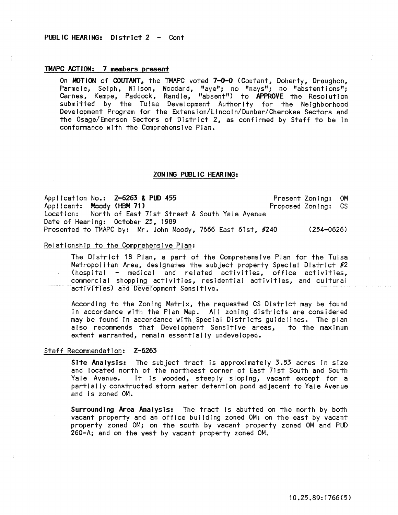### TMAPC ACTION: 7 members present

On MOTION of COUTANT, the TMAPC voted 7-0-0 (Coutant, Doherty, Draughon, Parmele, Selph, Wilson, Woodard, "aye"; no "nays"; no "abstentions"; Carnes, Kempe, Paddock, Randle, "absent") to APPROVE the Resolution submitted by the Tulsa Development Authority for the Neighborhood Development Program for the Extension/Lincoln/Dunbar/Cherokee Sectors and the Osage/Emerson Sectors of District 2, as confirmed by Staff to be In conformance with the Comprehensive Plan.

#### ZON ING PUBLIC HEARING:

Application No.: Z-6263 & PUD 455 Applicant: Moody (HBM 71) Location: North of East 71st Street & South Yale Avenue Date of Hearing: October 25, 1989 Presented to TMAPC by: Mr. John Moody, 7666 East 61st, #240 (254-0626) Present Zoning: OM Proposed Zoning: CS

## Relationship to the Comprehensive Plan:

The District 18 Plan, a part of the Comprehensive Plan for the Tulsa Metropolitan Area, designates the subject property Special District #2 (hospital medical and related activities, office activities, commercial shopping activities, residential activities, and cultural activities) and Development Sensitive.

According to the Zoning Matrix, the requested CS District may be found In accordance with the Plan Map. All zoning districts are considered may be found In accordance with Special Districts guidelines. The plan also recommends that Development Sensitive areas, to the maximum extent warranted, remain essentially undeveloped.

## Staff Recommendation: Z-6263

Site Analysis: The subject tract Is approximately 3.53 acres In size and located north of the northeast corner of East 71st South and South Yale Avenue. It Is wooded, steeply sloping, vacant except for a partially constructed storm water detention pond adjacent to Yale Avenue and Is zoned OM.

Surrounding Area Analysis: The tract is abutted on the north by both vacant property and an office building zoned OM; on the east by vacant property zoned OM; on the south by vacant property zoned OM and PUD 260-A; and on the west by vacant property zoned OM.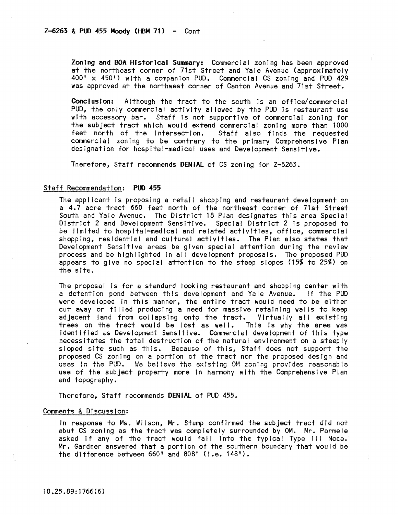ZonIng and BOA Historical Summary: Commercial zonIng has been approved at the northeast corner of 71st Street and Yale Avenue (approxImately 400' x 450') with a companion PUD. Commercial CS zoning and PUD 429 was approved at the northwest corner of Canton Avenue and 71st Street.

Conclusion: Although the tract to the south Is an office/commercial PUD, the only commercial activity al lowed by the PUD is restaurant use wIth accessory bar. Staff Is not supportive of commercIal zoning for the subject tract which would extend commercial zoning more than 1000 feet north of the intersection. Staff also finds the requested Staff also finds the requested commercial zoning to be contrary to the primary Comprehensive Plan designation for hospital=medlcal uses and Development Sensitive.

Therefore, Staff recommends DENIAL of CS zoning for Z-6263.

#### Staff Recommendation: PUD 455

The applicant is proposing a retal I shoppIng and restaurant development on a 4.7 acre tract 660 feet north of the northeast corner of 71st Street South and Yale Avenue. The District 18 Plan designates this area Special District 2 and Development SensItive. Special District 2 Is proposed to be limited to hospital-medical and related activities, office, commercial shopping, residential and cultural actIvities. The Plan also states that Development Sensitive areas be given special attention during the review process and be highlighted in all development proposals. The proposed PUD appears to give no special attention to the steep slopes (15% to 25%) on the site.

The proposal Is for a standard looking restaurant and shopping center with a detention pond between this development and Yale Avenue. !f the PUD were developed In this manner, the entire tract would need to be either cut away or filled producing a need for massive retaining walls to keep adjacent land from collapsing onto the tract. Virtually all existing<br>trees on the tract would be lost as well. This is why the area was trees on the tract would be lost as well. Identified as Development Sensitive. Commercial development of this type necessitates the total destruction of the natural envIronment on a steeply sloped site such as thIs. Because of this, Staff does not support the proposed CS zoning on a portion of the tract nor the proposed design and uses In the PUD. We believe the existing OM zoning provides reasonable use of the subject property more in harmony wIth the Comprehensive Plan and topography.

Therefore, Staff recommends DENiAl of PUD 455.

### Comments & Discussion:

In response to Ms. Wilson, Mr. Stump confirmed the subject tract did not abut CS zoning as the tract was completely surrounded by OM. Mr. Parmele asked if any of the tract would fall into the typical Type III Node. Mr. Gardner answered that a portion of the southern boundary that would be the difference between 660' and 808' (I.e. 148').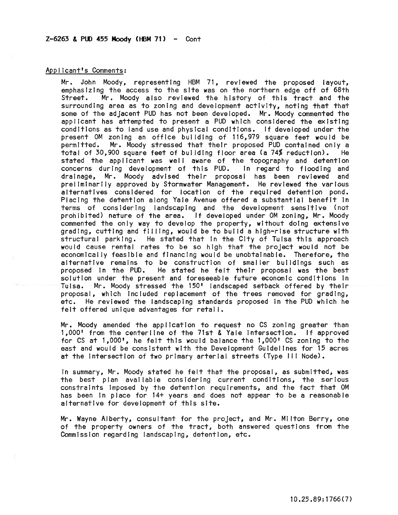### $Z-6263$  & PUD 455 Moody (HBM 71) - Cont

### Applicant's Comments:

Mr. John Moody, representing HBM 71, reviewed the proposed layout, emphasizing the access to the site was on the northern edge off of 68th<br>Street. Mr. Moody also reviewed the history of this tract and the Mr. Moody also reviewed the history of this tract and the surrounding area as to zoning and development activity, noting that that some of the adjacent PUD has not been developed. Mr. Moody commented the applicant has attempted to present a PUD which considered the existing conditions as to land use and physical conditions. If developed under the present OM zoning an office building of 116,979 square feet would be permitted. Mr. Moody stressed that their proposed PUD contained only a<br>total of 30.900 square feet of building floor area (a 74% reduction). He total of 30,900 square feet of building floor area (a 74% reduction). stated the applicant was well aware of the topography and detention<br>concerns during development of this PUD. In regard to flooding and concerns during development of this PUD. drainage, Mr. Moody advised their proposal has been reviewed and preliminarily approved by Stormwater Management. He reviewed the various alternatives considered for location of the required detention pond. Placing the detention along Yale Avenue offered a substantial benefit In terms of considering landscaping and the development sensitive (not prohibited) nature of the area. If developed under OM zoning, Mr. Moody commented the only way to develop the property, without doing extensive grading, cutting and filling, would be to build a high-rise structure with structural parking. He stated that in the City of Tulsa this approach would cause rental rates to be so high that the project would not be economically feasible and financing would be unobtainable. Therefore, the alternative remains to be construction of smaller buildings such as proposed in the PUD. He stated he felt their proposal was the best solution under the present and foreseeable future economic conditions in Tuisa. Mr. Moody stressed the 150' landscaped setback offered by their proposal, which Included replacement of the trees removed for grading, etc. He reviewed the landscaping standards proposed In the PUD which he felt offered unique advantages for retail.

Mr. Moody amended the application to request no CS zoning greater than 1,000' from the centerline of the 71st & Yale Intersection. If approved for CS at 1,000', he felt this would balance the 1,000' CS zoning to the east and would be consistent with the Development Guidelines for 15 acres at the intersection of two primary arterial streets (Type III Node).

In summary, Mr. Moody stated he felt that the proposal, as submitted, was the best plan available considering current conditions, the serious constraints imposed by the detention requirements, and the fact that OM has been In place for 14+ years and does not appear to be a reasonable alternative for development of this site.

Mr. Wayne Alberty, consultant for the project, and Mr. Milton Berry, one of the property owners of the tract, both answered questions from the Commission regarding landscaping, detention, etc.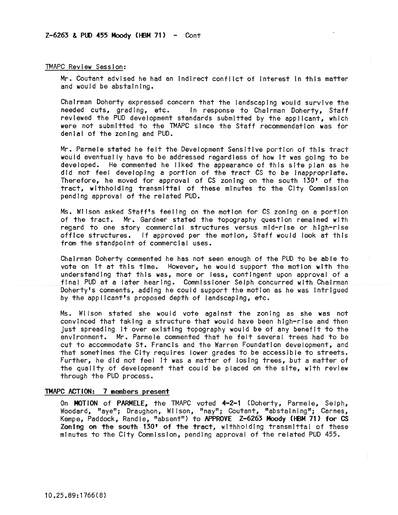#### TMAPC Review Session:

Mr. Coutant advised he had an Indirect conflict of Interest tn this matter and would be abstaining.

Chairman Doherty expressed concern that the landscaping would survive the needed cuts, grading, etc. In response to Chairman Doherty, Staff reviewed the PUD development standards submitted by the applicant, which were not submitted to the TMAPC since the Staff recommendation was for denial of the zoning and PUD.

Mr. Parmele stated he felt the Development Sensitive portion of this tract would eventually have to be addressed regardless of how It was going to be developed. He commented he liked the appearance of this site plan as he did not feel developing a portion of the tract CS to be inappropriate. Therefore, he moved for approval of CS zoning on the south 130' of the tract, withholding transmittal of these minutes to the City Commission pending approval of the related PUD.

Ms. Wilson asked Staff's feeling on the motion for CS zoning on a portion of the tract. Mr. Gardner stated the topography question remained with regard to one story commercial structures versus mid-rise or high-rise office structures. If approved per the motion, Staff would look at this from the standpoint of commercial uses.

Chairman Doherty commented he has not seen enough of the PUD to be able to vote on It at this time. However, he would support the motion with the understanding that this was, more or less, contingent upon approval of a final PUD at a later hearing. Commissioner Selph concurred with Chairman Doherty's comments, adding he could support the motion as he was Intrigued by the app!lcant's proposed depth of landscaping, etc.

Ms. Wilson stated she would vote against the zoning as she was not convinced that taking a structure that would have been high-rise and then just spreading It over existing topography would be of any benefit to the environment. Mr. Parmele commented that he felt several trees had to be cut to accommodate St. Francis and the Warren Foundation development, and that sometimes the City requires lower grades to be accessible to streets. Further, he did not feel It was a matter of losing trees, but a matter of the quality of development that could be placed on the site, with review through the PUD process.

## TMAPC ACTION: 7 members present

On MOTION of PARMELE, the TMAPC voted 4-2-1 (Doherty, Parmele, Selph, Woodard, "aye"; Draughon, Wilson, "nay"; Coutant, "abstaining"; Carnes, Kempe, Paddock, Randle, "absent") to APPROVE Z-6263 Moody (HBM 71> for CS Zoning on the south 130' of the tract, withholding transmittal of these minutes to the City Commission, pending approval of the related PUD 455.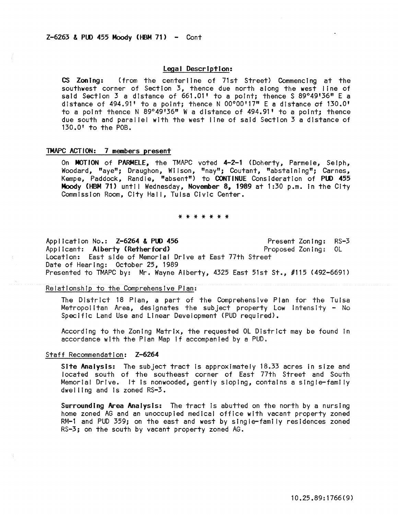### Legal Description:

CS Zoning: (from the centerline of 71st Street) Commencing at the southwest corner of Section 3, thence due north along the west line of said Section 3 a distance of 661.01' to a point; thence S 89°49'36" E a distance of 494.91' to a point; thence N 00°00'17" E a distance of 130.0' to a point thence N 89 $^{\circ}$ 49'36" W a distance of 494.91' to a point; thence due south and paral lei with the west line of said Section 3 a distance of 130.0' to the POB.

## TMAPC ACTION: 7 members present

On MOTION of PARMELE, the TMAPC voted 4-2-1 (Doherty, Parmele, Selph, Woodard, "aye"; Draughon, Wilson, "nay"; Coutant, "abstaining"; Carnes, Kempe, Paddock, Randle, "absent") to CONTINUE Consideration of PUD 455 Moody (HBM 71) until Wednesday, November 8, 1989 at 1:30 p.m. in the City Commission Room, City Hall, Tulsa Civic Center.

#### \* \* \* \* \* \* \*

Application No.: Z-6264 & PUD 456 Applicant: Aiberty (Retherford) Present Zoning: RS-3 Proposed Zoning: OL Location: East side of Memorial Drive at East 77th Street Date of Hearing: October 25, 1989 Presented to TMAPC by: Mr. Wayne Alberty, 4325 East 51st St., #115 (492-6691)

#### Relationship to the Comprehensive Plan:

The District 18 Plan, a part of the Comprehensive Plan for the Tulsa Metropolitan Area, designates the subject property Low intensity = No Specific Land Use and Linear Development (PUD required).

According to the Zoning Matrix, the requested OL District may be found In accordance with the Plan Map if accompanied by a PUD.

### Staff Recommendation: Z-6264

Site Analysis: The subject tract Is approximately 18.33 acres In size and located south of the southeast corner of East 77th Street and South Memorial Drive. It Is nonwooded, gently sloping, contains a single-family dwel ling and Is zoned RS-3.

Surrounding Area Analysts: The tract Is abutted on the north by a nursing home zoned AG and an unoccupied medical office with vacant property zoned RM-1 and PUD 359; on the east and west by single-family residences zoned RS-3; on the south by vacant property zoned AG.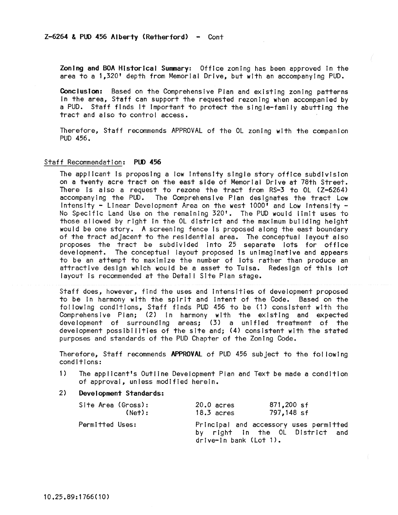Zoning and BOA Historical Summary: Office zoning has been approved In the area to a 1,320' depth from Memorial Drive, but with an accompanying PUD.

ConclusIon: Based on the Comprehensive Plan and existing zoning patterns In the area, Staff can support the requested rezoning when accompanied by a PUD. Staff finds It Important to protect the slngle-fami Iy abutting the tract and also to control access.

Therefore, Staff recommends APPROVAL of the OL zoning with the companion PUD 456.

#### Staff Recommendation: PUD 456

The applicant Is proposing a low Intensity single story office subdivision on a twenty acre tract on the east side of Memorial Drive at 78th Street. There is also a request to rezone the tract from RS-3 to OL (Z-6264) accompanying the PUD. The Comprehensive Plan designates the tract Low **IntensIty - Linear Development Area on the west 1000' and Low Intensity** <sup>~</sup> No Specific Land Use on the remaining 320'. The PUD would limit uses to those al lowed by right in the OL district and the maximum but Iding height would be one story. A screening fence is proposed along the east boundary of the tract adjacent to the residential area. The conceptual layout also proposes the tract be subdivided Into 25 separate lots for office development. The conceptual layout proposed is unimaginative and appears to be an attempt to maximize the number of lots rather than produce an attractive design which would be a asset to Tulsa. Redesign of this lot layout is recommended at the Detail Site Plan stage.

Staff does, however, find the uses and Intensities of development proposed to be In harmony with the spirit and Intent of the Code. Based on the fo! lowing conditions, Staff finds PUD 456 to be (1) consistent with the Comprehensive Plan; (2) In harmony with the existing and expected development of surrounding areas; (3) a unified treatment of the development possibi Iities of the site and; (4) consistent with the stated purposes and standards of the PUD Chapter of the Zoning Code.

Therefore, Staff recommends APPROVAL of PUD 456 subject to the fol lowing conditions:

- 1) The applicant's Outline Development Plan and Text be made a condition of approval, unless modified herein.
- 2) Development Standards:

| Site Area (Gross): | $20.0$ acres           | 871,200 sf                                                                |
|--------------------|------------------------|---------------------------------------------------------------------------|
| (Net):             | $18.3$ acres           | 797,148 sf                                                                |
| Permitted Uses:    | drive-in bank (Lot 1). | Principal and accessory uses permitted<br>by right in the OL District and |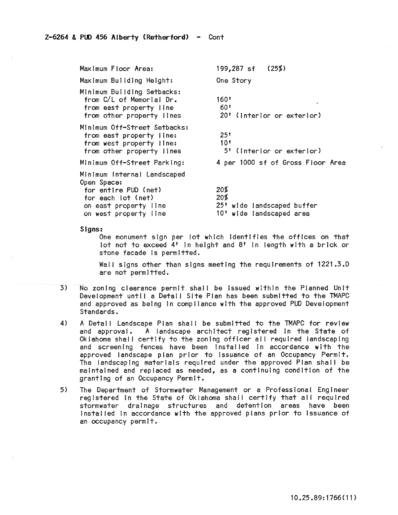Maximum Floor Area: Maximum Building Height: Minimum Building Setbacks: from *C/l* of Memorial Dr. from east property line from other property lInes MInimum Off-Street Setbacks: from east property line: from west property line: from other property lines MInimum Off-Street Parking: Minimum Internal landscaped Open Space: for entire PUD (net) for each lot (net) **on east property line**  on west property line 199,287 sf One Story 160' 60' (25%) 20' (Interior or exterior) 25' 10' 5' (Interior or exterior) 4 per 1000 sf of Gross Floor Area 20% 20% 25' wide !andscaped buffer 10' wide landscaped area

Signs:

One monument sign per lot which Identifies the offices on that lot not to exceed **4'** In height and 8' In length with a brick or stone facade is permitted.

Wall signs other than signs meeting the requirements of 1221.3.D are not permitted.

- 3) No zonIng clearance permit shall be Issued wIthIn the Planned Unit Development until a Detail Site Plan has been submitted to the TMAPC and approved as being in compliance with the approved PUD Development Standards.
- 4) A Detail Landscape Plan shall be submitted to the TMAPC for review and approval. A landscape architect registered in the State of Oklahoma shall certify to the zoning officer all required landscaping and screening fences have been installed in accordance with the approved landscape plan prior to issuance of an Occupancy Permit. The landscaping materials required under the approved Plan shall be maintained and replaced as needed, as a continuing condition of the granting of an Occupancy Permit.
- 5) The Department of Stormwater Management or a Professional Engineer registered In the State of Oklahoma shall certify that all required stormwater drainage structures and detention areas have been Instal led tn accordance with the approved plans prior to Issuance of an occupancy permit.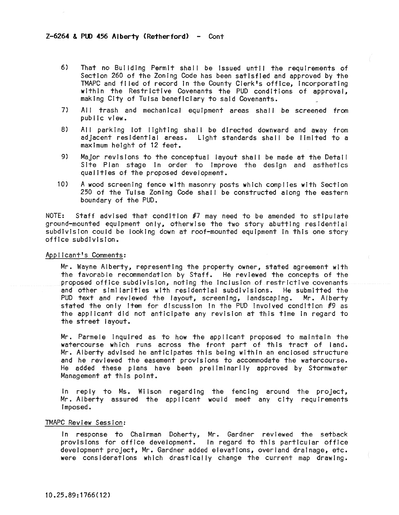- 6) That no Building Permit shall be issued until the requirements of Section 260 of the Zoning Code has been satisfied and approved by the TMAPC and fl led of record In the County Clerk's office, Incorporating within the Restrictive Covenants the PUD conditions of approval, making City of Tulsa beneficiary to said Covenants.
- 7) All trash and mechanical equipment areas shall be screened from public view.
- 8) All parking lot lighting shall be directed downward and away from adjacent residential areas. Light standards shall be limited to a maximum height of 12 feet.
- 9) Major revisions to the conceptual layout shall be made at the Detail Site Plan stage in order to improve the design and asthetics qualities of the proposed development.
- 10) A wood screening fence with masonry posts which compiles with Section 250 of the Tulsa Zoning Code shall be constructed along the eastern boundary of the PUD.

NOTE: Staff advised that condition  $\#7$  may need to be amended to stipulate ground-mounted equipment only, otherwise the two story abutting residential subdivision could be looking down at roof-mounted equipment In this one story office subdivIsion.

Applicant's Comments:

Mr. Wayne Alberty, representing the property owner, stated agreement with the favorable recommendation by Staff. He reviewed the concepts of the proposed office subdivision, noting the Inclusion of restrictive covenants and other similarities with residential subdivIsions. He submitted the PUD text and reviewed the layout, screening, landscaping. Mr. Alberty stated the only item for discussion in the PUD involved condition #9 as the applicant did not anticipate any revision at this time In regard to the street layout.

Mr. Parmele inquired as to how the applicant proposed to maintain the watercourse which runs across the front part of this tract of land. Mr. Alberty advised he anticipates this being within an enclosed structure and he reviewed the easement provisions to accommodate the watercourse. He added these plans have been preliminarily approved by Stormwater Management at this point.

In reply to Ms. Wilson regarding the fencing around the project, Mr. Alberty assured the applicant would meet any city requirements Imposed.

## TMAPC Review Session:

In response to Chairman Doherty, Mr. Gardner reviewed the setback provisions for office development. In regard to this particular office development project, Mr. Gardner added elevations, overland drainage, etc. were considerations which drastically change the current map drawing.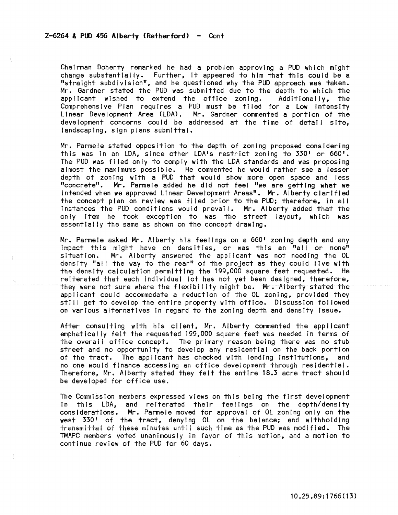Chairman Doherty remarked he had a problem approvIng a PUD which might change substantially. Further, It appeared to him that this could be a "straight subdivision", and he questioned why the PUD approach was taken. Mr. Gardner stated the PUD was submitted due to the depth to which the applicant wished to extend the office zoning. Additionally, the applicant wished to extend the office zoning. Additionally, the Comprehensive Plan requires a PUD must be filed for a Low Intensity Linear Development Area (LDA). Mr. Gardner commented a portion of the development concerns could be addressed at the time of detail site, landscaping, sign plans submittal.

Mr. Parmele stated opposition to the depth of zoning proposed considering this was in an LDA, since other LDA's restrict zoning to 330' or 660'. The PUD was fl led only to comply with the LDA standards and was proposing almost the maximums possible. He commented he would rather see a lesser depth of zoning with a PUD that would show more open space and less "concrete". Mr. Parmele added he did not feel "we are getting what we Intended when we approved Linear Development Areas". Mr. Alberty clarified the concept plan on review was filed prior to the PUD; therefore, In all Instances the PUD conditions would prevail. Mr. Alberty added that the only item he took exception to was the street layout, which was essentially the same as shown on the concept drawing.

Mr. Parmele asked Mr. Alberty his feelings on a 660' zoning depth and any Impact this might have on densities, or was this an "all or none" situation. Mr. Alberty answered the applicant was not needing the OL density "all the way to the rear" of the project as they could live with the density calculation permitting the 199,000 square feet requested. He reiterated that each Individual lot has not yet been designed, therefore, they were not sure where the flexibility might be. Mr. Alberty stated the applicant could accommodate a reduction of the OL zoning, provided they still get to develop the entire property with office. Discussion followed on various alternatives In regard to the zoning depth and density Issue.

After consulting with his client, Mr. Alberty commented the applicant emphatically felt the requested 199,000 square feet was needed in terms of the overall office concept. The primary reason being there was no stub street and no opportunity to develop any residential on the back portion of the tract. The applicant has checked with lending Institutions, and no one would finance accessing an office development through residential. Therefore, Mr. Alberty stated they felt the entire 18.3 acre tract should be developed for office use.

The Commission members expressed views on this being the first development In this LDA, and reiterated their feelings on the depth/density considerations. Mr. Parmele moved for approval of OL zoning only on the west 330' of the tract, denying OL on the balance; and withholding transmittal of these minutes until such time as the PUD was modified. The TMAPC members voted unanimously in favor of this motion, and a motion to continue review of the PUD for 60 days.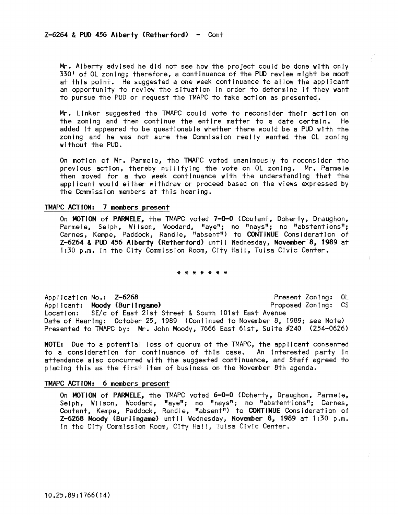Mr. Alberty advised he did not see how the project could be done with only 330' of OL zoning; therefore, a continuance of the PUD review mIght be moot at this point. He suggested a one week continuance to allow the applicant an opportunity to review the situation in order to determine if they want to pursue the PUD or request the TMAPC to take action as presented.

Mr. Linker suggested the TMAPC could vote to reconsider their action on the zoning and then continue the entire matter to a date certain. He added It appeared to be questionable whether there would be a PUD wIth the zoning and he was not sure the Commission really wanted the OL zoning wIthout the PUD.

On motion of Mr. Parmele, the TMAPC voted unanimously to reconsider the previous action, thereby nullifying the vote on OL zoning. Mr. Parmele then moved for a two week continuance with the understanding that the applicant would either wIthdraw or proceed based on the views expressed by the Commission members at this hearing.

## TMAPC ACTiON: 7 members present

On MOTION of PARMELE, the TMAPC voted 7-0-0 (Coutant, Doherty, Draughon, Parmele, Selph, Wilson, Woodard, "aye"; no "nays"; no "abstentions"; Carnes, Kempe, Paddock, Randle, "absent") to CONTINUE Consideration of Z-6264 & PUD 456 Alberty (Retherford) until Wednesday, November 8, 1989 at 1:30 p.m. in the City Commission Room, City Hall, Tulsa Civic Center.

### \* \* \* \* \* \* \*

Application No.: Z-6268<br>Applicant: Moody (Burlingame) Proposed Zoning: CS Applicant: Moody (Burlingame) Location: SE/c of East 21st Street & South 101st East Avenue Date of Hearing: October 25, 1989 (Continued to November 8, 1989; see Note) Presented to TMAPC by: Mr. John Moody, 7666 East 61st, SuIte #240 (254-0626)

NOTE: Due to a potential loss of quorum of the TMAPC, the applicant consented to a consideration for continuance of this case. An interested party in attendance also concurred with the suggested continuance, and Staff agreed to placing this as the first Item of business on the November 8th agenda.

### TMAPC ACT ION: 6 members present

On MOTION of PARMELE, the TMAPC voted 6-0-0 (Doherty, Draughon, Parmele, Selph, Wilson, Woodard, "aye"; no "nays"; no "abstentions"; Carnes, Coutant, Kempe, Paddock, Randle, "absent") to CONTINUE Consideration of Z-6268 Moody (Burlingame) untIl Wednesday, November 8, 1989 at 1:30 p.m. in the City Commission Room, City Hal I, Tulsa Civic Center.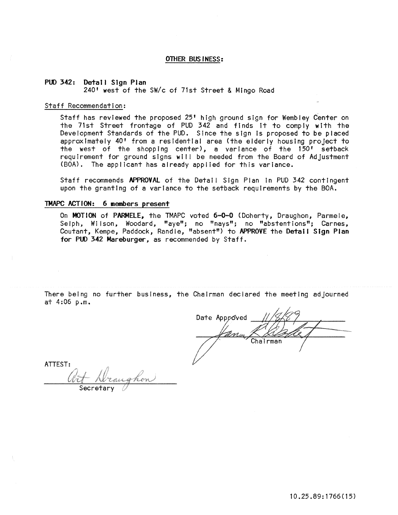### OTHER BUSINESS:

### PUO 342: Detail Sign Plan 240' west of the SW/c of 71st Street & Mingo Road

#### Staff Recommendation:

Staff has reviewed the proposed 25' high ground sign for Wembley Center on the 71st Street frontage of PUD 342 and finds It to comply with the Development Standards of the PUD. Since the sign Is proposed to be placed approximately 40' from a residential area (the elderly housing project to the west of the shopping center), a variance of the 150' setback requirement for ground signs wll I be needed from the Board of Adjustment (BOA). The applicant has already applied for this variance.

Staff recommends APPROVAL of the Detail Sign Plan in PUD 342 contingent upon the granting of a variance to the setback requirements by the BOA.

# TMAPC ACTION: 6 members present

On MOTION of PARMELE, the TMAPC voted 6-0-0 (Doherty, Draughon, Parmele, Selph, Wilson, Woodard, "aye"; no "nays"; no "abstentions"; Carnes, Coutant, Kempe, Paddock, Randle, "absent") to APPROVE the Detail Sign Plan for PUD 342 Mareburger, as recommended by Staff.

There being no further business, the Chairman declared the meeting adjourned at 4:06 p.m.

Date Approved Chairman

ATTEST: <u>Wit Wraughon</u>  $\overline{\text{Secretary}}$   $\overline{\mathscr{O}}$